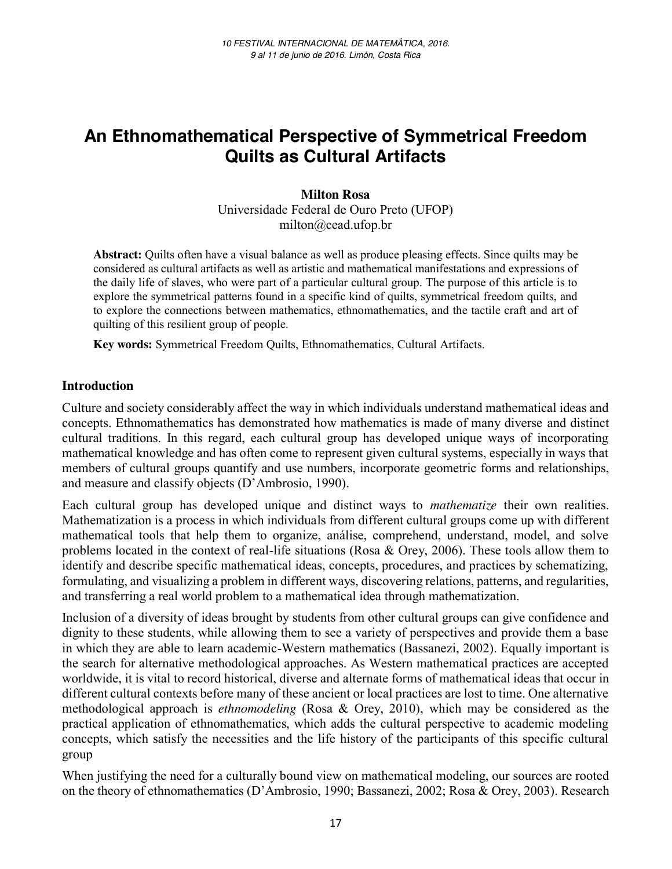# **An Ethnomathematical Perspective of Symmetrical Freedom Quilts as Cultural Artifacts**

### **Milton Rosa**

Universidade Federal de Ouro Preto (UFOP) milton@cead.ufop.br

**Abstract:** Quilts often have a visual balance as well as produce pleasing effects. Since quilts may be considered as cultural artifacts as well as artistic and mathematical manifestations and expressions of the daily life of slaves, who were part of a particular cultural group. The purpose of this article is to explore the symmetrical patterns found in a specific kind of quilts, symmetrical freedom quilts, and to explore the connections between mathematics, ethnomathematics, and the tactile craft and art of quilting of this resilient group of people.

**Key words:** Symmetrical Freedom Quilts, Ethnomathematics, Cultural Artifacts.

#### **Introduction**

Culture and society considerably affect the way in which individuals understand mathematical ideas and concepts. Ethnomathematics has demonstrated how mathematics is made of many diverse and distinct cultural traditions. In this regard, each cultural group has developed unique ways of incorporating mathematical knowledge and has often come to represent given cultural systems, especially in ways that members of cultural groups quantify and use numbers, incorporate geometric forms and relationships, and measure and classify objects (D'Ambrosio, 1990).

Each cultural group has developed unique and distinct ways to *mathematize* their own realities. Mathematization is a process in which individuals from different cultural groups come up with different mathematical tools that help them to organize, análise, comprehend, understand, model, and solve problems located in the context of real-life situations (Rosa & Orey, 2006). These tools allow them to identify and describe specific mathematical ideas, concepts, procedures, and practices by schematizing, formulating, and visualizing a problem in different ways, discovering relations, patterns, and regularities, and transferring a real world problem to a mathematical idea through mathematization.

Inclusion of a diversity of ideas brought by students from other cultural groups can give confidence and dignity to these students, while allowing them to see a variety of perspectives and provide them a base in which they are able to learn academic-Western mathematics (Bassanezi, 2002). Equally important is the search for alternative methodological approaches. As Western mathematical practices are accepted worldwide, it is vital to record historical, diverse and alternate forms of mathematical ideas that occur in different cultural contexts before many of these ancient or local practices are lost to time. One alternative methodological approach is *ethnomodeling* (Rosa & Orey, 2010), which may be considered as the practical application of ethnomathematics, which adds the cultural perspective to academic modeling concepts, which satisfy the necessities and the life history of the participants of this specific cultural group

When justifying the need for a culturally bound view on mathematical modeling, our sources are rooted on the theory of ethnomathematics (D'Ambrosio, 1990; Bassanezi, 2002; Rosa & Orey, 2003). Research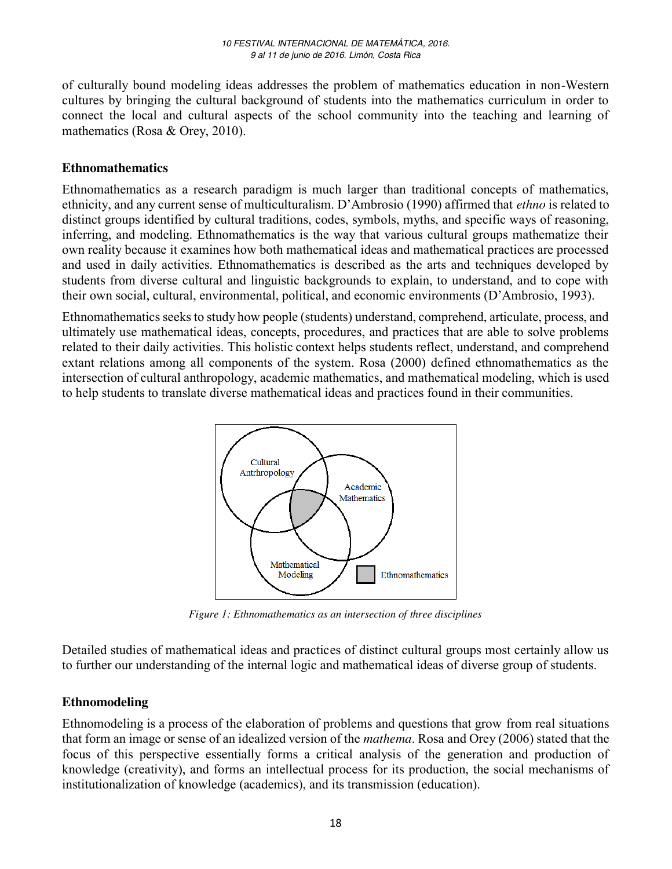of culturally bound modeling ideas addresses the problem of mathematics education in non-Western cultures by bringing the cultural background of students into the mathematics curriculum in order to connect the local and cultural aspects of the school community into the teaching and learning of mathematics (Rosa & Orey, 2010).

### **Ethnomathematics**

Ethnomathematics as a research paradigm is much larger than traditional concepts of mathematics, ethnicity, and any current sense of multiculturalism. D'Ambrosio (1990) affirmed that *ethno* is related to distinct groups identified by cultural traditions, codes, symbols, myths, and specific ways of reasoning, inferring, and modeling. Ethnomathematics is the way that various cultural groups mathematize their own reality because it examines how both mathematical ideas and mathematical practices are processed and used in daily activities. Ethnomathematics is described as the arts and techniques developed by students from diverse cultural and linguistic backgrounds to explain, to understand, and to cope with their own social, cultural, environmental, political, and economic environments (D'Ambrosio, 1993).

Ethnomathematics seeks to study how people (students) understand, comprehend, articulate, process, and ultimately use mathematical ideas, concepts, procedures, and practices that are able to solve problems related to their daily activities. This holistic context helps students reflect, understand, and comprehend extant relations among all components of the system. Rosa (2000) defined ethnomathematics as the intersection of cultural anthropology, academic mathematics, and mathematical modeling, which is used to help students to translate diverse mathematical ideas and practices found in their communities.



*Figure 1: Ethnomathematics as an intersection of three disciplines*

Detailed studies of mathematical ideas and practices of distinct cultural groups most certainly allow us to further our understanding of the internal logic and mathematical ideas of diverse group of students.

## **Ethnomodeling**

Ethnomodeling is a process of the elaboration of problems and questions that grow from real situations that form an image or sense of an idealized version of the *mathema*. Rosa and Orey (2006) stated that the focus of this perspective essentially forms a critical analysis of the generation and production of knowledge (creativity), and forms an intellectual process for its production, the social mechanisms of institutionalization of knowledge (academics), and its transmission (education).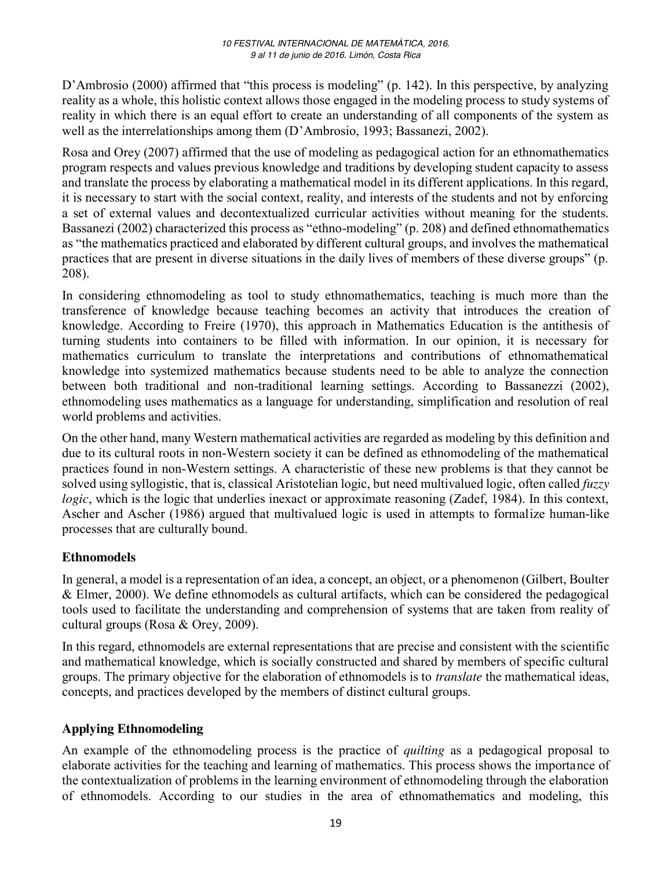D'Ambrosio (2000) affirmed that "this process is modeling" (p. 142). In this perspective, by analyzing reality as a whole, this holistic context allows those engaged in the modeling process to study systems of reality in which there is an equal effort to create an understanding of all components of the system as well as the interrelationships among them (D'Ambrosio, 1993; Bassanezi, 2002).

Rosa and Orey (2007) affirmed that the use of modeling as pedagogical action for an ethnomathematics program respects and values previous knowledge and traditions by developing student capacity to assess and translate the process by elaborating a mathematical model in its different applications. In this regard, it is necessary to start with the social context, reality, and interests of the students and not by enforcing a set of external values and decontextualized curricular activities without meaning for the students. Bassanezi (2002) characterized this process as "ethno-modeling" (p. 208) and defined ethnomathematics as "the mathematics practiced and elaborated by different cultural groups, and involves the mathematical practices that are present in diverse situations in the daily lives of members of these diverse groups" (p. 208).

In considering ethnomodeling as tool to study ethnomathematics, teaching is much more than the transference of knowledge because teaching becomes an activity that introduces the creation of knowledge. According to Freire (1970), this approach in Mathematics Education is the antithesis of turning students into containers to be filled with information. In our opinion, it is necessary for mathematics curriculum to translate the interpretations and contributions of ethnomathematical knowledge into systemized mathematics because students need to be able to analyze the connection between both traditional and non-traditional learning settings. According to Bassanezzi (2002), ethnomodeling uses mathematics as a language for understanding, simplification and resolution of real world problems and activities.

On the other hand, many Western mathematical activities are regarded as modeling by this definition and due to its cultural roots in non-Western society it can be defined as ethnomodeling of the mathematical practices found in non-Western settings. A characteristic of these new problems is that they cannot be solved using syllogistic, that is, classical Aristotelian logic, but need multivalued logic, often called *fuzzy logic*, which is the logic that underlies inexact or approximate reasoning (Zadef, 1984). In this context, Ascher and Ascher (1986) argued that multivalued logic is used in attempts to formalize human-like processes that are culturally bound.

## **Ethnomodels**

In general, a model is a representation of an idea, a concept, an object, or a phenomenon (Gilbert, Boulter & Elmer, 2000). We define ethnomodels as cultural artifacts, which can be considered the pedagogical tools used to facilitate the understanding and comprehension of systems that are taken from reality of cultural groups (Rosa & Orey, 2009).

In this regard, ethnomodels are external representations that are precise and consistent with the scientific and mathematical knowledge, which is socially constructed and shared by members of specific cultural groups. The primary objective for the elaboration of ethnomodels is to *translate* the mathematical ideas, concepts, and practices developed by the members of distinct cultural groups.

# **Applying Ethnomodeling**

An example of the ethnomodeling process is the practice of *quilting* as a pedagogical proposal to elaborate activities for the teaching and learning of mathematics. This process shows the importance of the contextualization of problems in the learning environment of ethnomodeling through the elaboration of ethnomodels. According to our studies in the area of ethnomathematics and modeling, this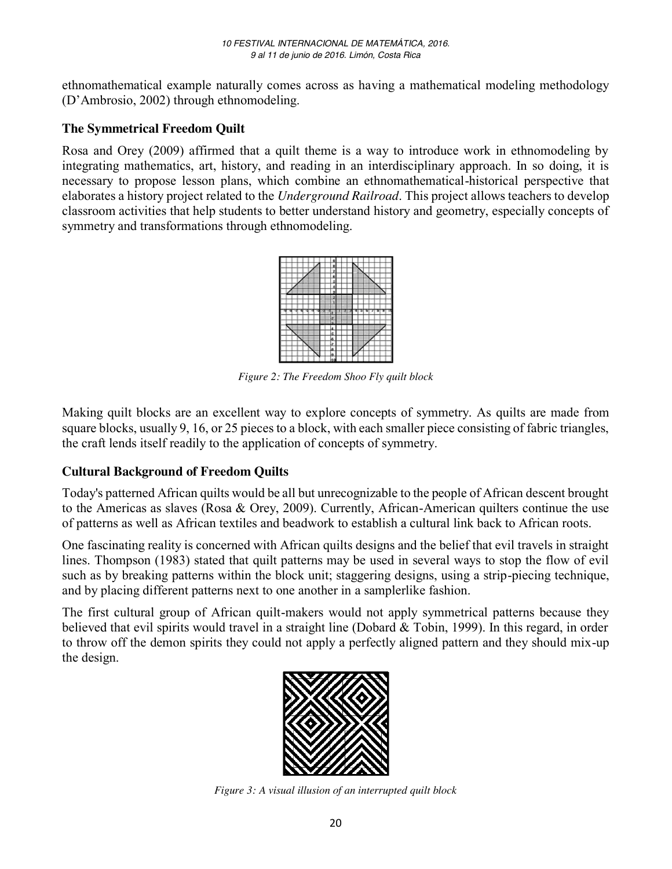ethnomathematical example naturally comes across as having a mathematical modeling methodology (D'Ambrosio, 2002) through ethnomodeling.

# **The Symmetrical Freedom Quilt**

Rosa and Orey (2009) affirmed that a quilt theme is a way to introduce work in ethnomodeling by integrating mathematics, art, history, and reading in an interdisciplinary approach. In so doing, it is necessary to propose lesson plans, which combine an ethnomathematical-historical perspective that elaborates a history project related to the *Underground Railroad*. This project allows teachers to develop classroom activities that help students to better understand history and geometry, especially concepts of symmetry and transformations through ethnomodeling.

*Figure 2: The Freedom Shoo Fly quilt block*

Making quilt blocks are an excellent way to explore concepts of symmetry. As quilts are made from square blocks, usually 9, 16, or 25 pieces to a block, with each smaller piece consisting of fabric triangles, the craft lends itself readily to the application of concepts of symmetry.

# **Cultural Background of Freedom Quilts**

Today's patterned African quilts would be all but unrecognizable to the people of African descent brought to the Americas as slaves (Rosa & Orey, 2009). Currently, African-American quilters continue the use of patterns as well as African textiles and beadwork to establish a cultural link back to African roots.

One fascinating reality is concerned with African quilts designs and the belief that evil travels in straight lines. Thompson (1983) stated that quilt patterns may be used in several ways to stop the flow of evil such as by breaking patterns within the block unit; staggering designs, using a strip-piecing technique, and by placing different patterns next to one another in a samplerlike fashion.

The first cultural group of African quilt-makers would not apply symmetrical patterns because they believed that evil spirits would travel in a straight line (Dobard & Tobin, 1999). In this regard, in order to throw off the demon spirits they could not apply a perfectly aligned pattern and they should mix-up the design.



*Figure 3: A visual illusion of an interrupted quilt block*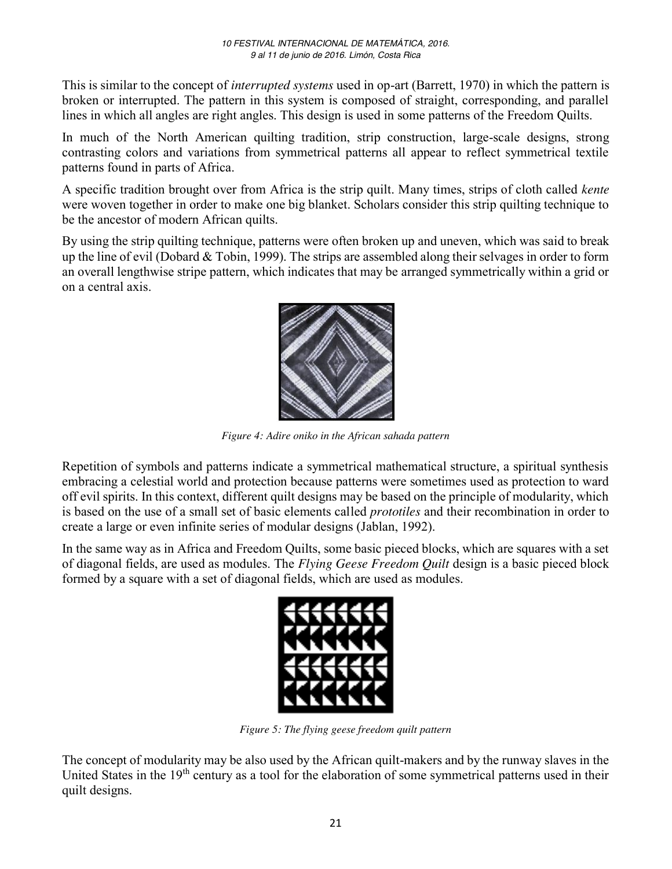This is similar to the concept of *interrupted systems* used in op-art (Barrett, 1970) in which the pattern is broken or interrupted. The pattern in this system is composed of straight, corresponding, and parallel lines in which all angles are right angles. This design is used in some patterns of the Freedom Quilts.

In much of the North American quilting tradition, strip construction, large-scale designs, strong contrasting colors and variations from symmetrical patterns all appear to reflect symmetrical textile patterns found in parts of Africa.

A specific tradition brought over from Africa is the strip quilt. Many times, strips of cloth called *kente* were woven together in order to make one big blanket. Scholars consider this strip quilting technique to be the ancestor of modern African quilts.

By using the strip quilting technique, patterns were often broken up and uneven, which was said to break up the line of evil (Dobard  $&$  Tobin, 1999). The strips are assembled along their selvages in order to form an overall lengthwise stripe pattern, which indicates that may be arranged symmetrically within a grid or on a central axis.



*Figure 4: Adire oniko in the African sahada pattern*

Repetition of symbols and patterns indicate a symmetrical mathematical structure, a spiritual synthesis embracing a celestial world and protection because patterns were sometimes used as protection to ward off evil spirits. In this context, different quilt designs may be based on the principle of modularity, which is based on the use of a small set of basic elements called *prototiles* and their recombination in order to create a large or even infinite series of modular designs (Jablan, 1992).

In the same way as in Africa and Freedom Quilts, some basic pieced blocks, which are squares with a set of diagonal fields, are used as modules. The *Flying Geese Freedom Quilt* design is a basic pieced block formed by a square with a set of diagonal fields, which are used as modules.



*Figure 5: The flying geese freedom quilt pattern*

The concept of modularity may be also used by the African quilt-makers and by the runway slaves in the United States in the 19<sup>th</sup> century as a tool for the elaboration of some symmetrical patterns used in their quilt designs.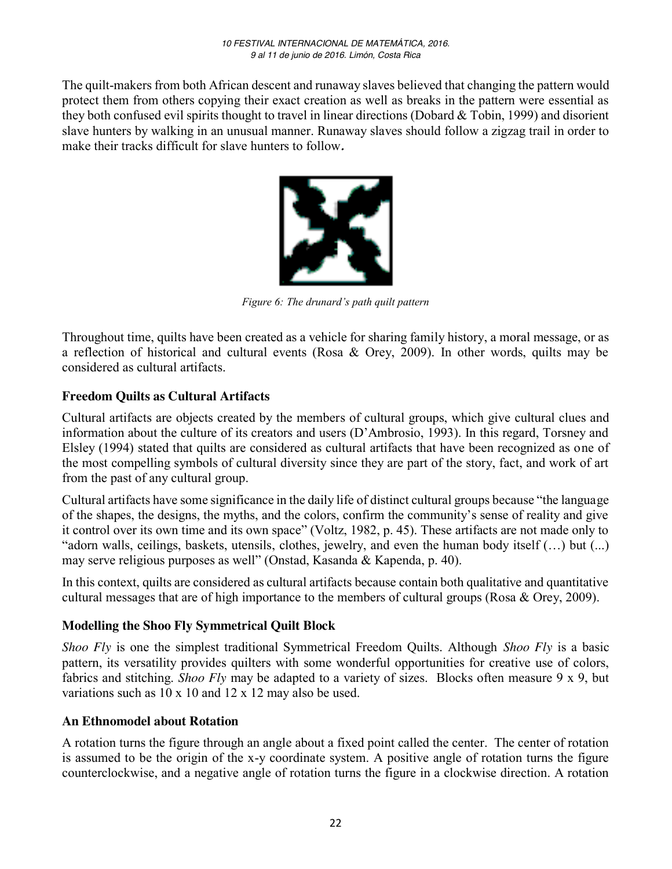The quilt-makers from both African descent and runaway slaves believed that changing the pattern would protect them from others copying their exact creation as well as breaks in the pattern were essential as they both confused evil spirits thought to travel in linear directions (Dobard & Tobin, 1999) and disorient slave hunters by walking in an unusual manner. Runaway slaves should follow a zigzag trail in order to make their tracks difficult for slave hunters to follow*.*



*Figure 6: The drunard's path quilt pattern*

Throughout time, quilts have been created as a vehicle for sharing family history, a moral message, or as a reflection of historical and cultural events (Rosa & Orey, 2009). In other words, quilts may be considered as cultural artifacts.

## **Freedom Quilts as Cultural Artifacts**

Cultural artifacts are objects created by the members of cultural groups, which give cultural clues and information about the culture of its creators and users (D'Ambrosio, 1993). In this regard, Torsney and Elsley (1994) stated that quilts are considered as cultural artifacts that have been recognized as one of the most compelling symbols of cultural diversity since they are part of the story, fact, and work of art from the past of any cultural group.

Cultural artifacts have some significance in the daily life of distinct cultural groups because "the language of the shapes, the designs, the myths, and the colors, confirm the community's sense of reality and give it control over its own time and its own space" (Voltz, 1982, p. 45). These artifacts are not made only to "adorn walls, ceilings, baskets, utensils, clothes, jewelry, and even the human body itself (…) but (...) may serve religious purposes as well" (Onstad, Kasanda & Kapenda, p. 40).

In this context, quilts are considered as cultural artifacts because contain both qualitative and quantitative cultural messages that are of high importance to the members of cultural groups (Rosa & Orey, 2009).

#### **Modelling the Shoo Fly Symmetrical Quilt Block**

*Shoo Fly* is one the simplest traditional Symmetrical Freedom Quilts. Although *Shoo Fly* is a basic pattern, its versatility provides quilters with some wonderful opportunities for creative use of colors, fabrics and stitching. *Shoo Fly* may be adapted to a variety of sizes. Blocks often measure 9 x 9, but variations such as 10 x 10 and 12 x 12 may also be used.

#### **An Ethnomodel about Rotation**

A rotation turns the figure through an angle about a fixed point called the center. The center of rotation is assumed to be the origin of the x-y coordinate system. A positive angle of rotation turns the figure counterclockwise, and a negative angle of rotation turns the figure in a clockwise direction. A rotation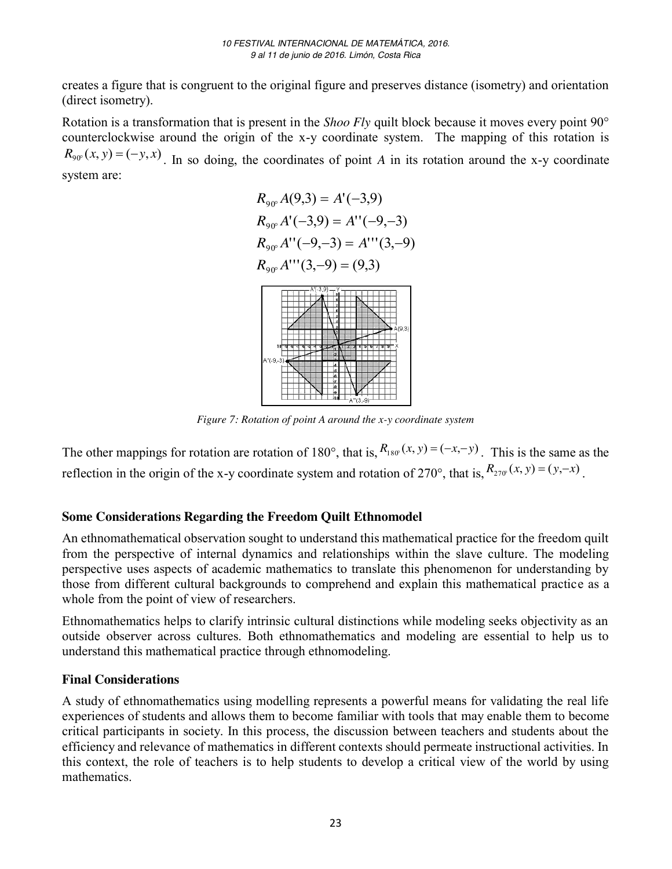creates a figure that is congruent to the original figure and preserves distance (isometry) and orientation (direct isometry).

Rotation is a transformation that is present in the *Shoo Fly* quilt block because it moves every point 90° counterclockwise around the origin of the x-y coordinate system. The mapping of this rotation is  $R_{90}(x, y) = (-y, x)$ . In so doing, the coordinates of point *A* in its rotation around the x-y coordinate system are:



*Figure 7: Rotation of point A around the x-y coordinate system*

The other mappings for rotation are rotation of 180°, that is,  $R_{180}(x, y) = (-x, -y)$ . This is the same as the reflection in the origin of the x-y coordinate system and rotation of 270°, that is,  $R_{270}(x, y) = (y, -x)$ .

# **Some Considerations Regarding the Freedom Quilt Ethnomodel**

An ethnomathematical observation sought to understand this mathematical practice for the freedom quilt from the perspective of internal dynamics and relationships within the slave culture. The modeling perspective uses aspects of academic mathematics to translate this phenomenon for understanding by those from different cultural backgrounds to comprehend and explain this mathematical practice as a whole from the point of view of researchers.

Ethnomathematics helps to clarify intrinsic cultural distinctions while modeling seeks objectivity as an outside observer across cultures. Both ethnomathematics and modeling are essential to help us to understand this mathematical practice through ethnomodeling.

## **Final Considerations**

A study of ethnomathematics using modelling represents a powerful means for validating the real life experiences of students and allows them to become familiar with tools that may enable them to become critical participants in society. In this process, the discussion between teachers and students about the efficiency and relevance of mathematics in different contexts should permeate instructional activities. In this context, the role of teachers is to help students to develop a critical view of the world by using mathematics.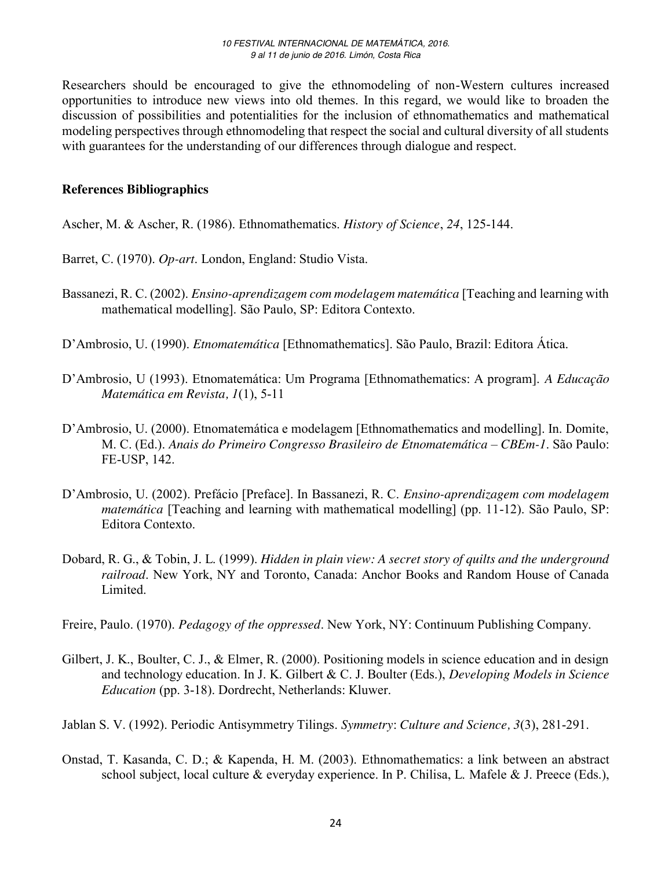Researchers should be encouraged to give the ethnomodeling of non-Western cultures increased opportunities to introduce new views into old themes. In this regard, we would like to broaden the discussion of possibilities and potentialities for the inclusion of ethnomathematics and mathematical modeling perspectives through ethnomodeling that respect the social and cultural diversity of all students with guarantees for the understanding of our differences through dialogue and respect.

### **References Bibliographics**

Ascher, M. & Ascher, R. (1986). Ethnomathematics. *History of Science*, *24*, 125-144.

Barret, C. (1970). *Op-art*. London, England: Studio Vista.

- Bassanezi, R. C. (2002). *Ensino-aprendizagem com modelagem matemática* [Teaching and learning with mathematical modelling]. São Paulo, SP: Editora Contexto.
- D'Ambrosio, U. (1990). *Etnomatemática* [Ethnomathematics]. São Paulo, Brazil: Editora Ática.
- D'Ambrosio, U (1993). Etnomatemática: Um Programa [Ethnomathematics: A program]. *A Educação Matemática em Revista, 1*(1), 5-11
- D'Ambrosio, U. (2000). Etnomatemática e modelagem [Ethnomathematics and modelling]. In. Domite, M. C. (Ed.). *Anais do Primeiro Congresso Brasileiro de Etnomatemática – CBEm-1*. São Paulo: FE-USP, 142.
- D'Ambrosio, U. (2002). Prefácio [Preface]. In Bassanezi, R. C. *Ensino-aprendizagem com modelagem matemática* [Teaching and learning with mathematical modelling] (pp. 11-12). São Paulo, SP: Editora Contexto.
- Dobard, R. G., & Tobin, J. L. (1999). *Hidden in plain view: A secret story of quilts and the underground railroad*. New York, NY and Toronto, Canada: Anchor Books and Random House of Canada Limited.
- Freire, Paulo. (1970). *Pedagogy of the oppressed*. New York, NY: Continuum Publishing Company.
- Gilbert, J. K., Boulter, C. J., & Elmer, R. (2000). Positioning models in science education and in design and technology education. In J. K. Gilbert & C. J. Boulter (Eds.), *Developing Models in Science Education* (pp. 3-18). Dordrecht, Netherlands: Kluwer.

Jablan S. V. (1992). Periodic Antisymmetry Tilings. *Symmetry*: *Culture and Science, 3*(3), 281-291.

Onstad, T. Kasanda, C. D.; & Kapenda, H. M. (2003). Ethnomathematics: a link between an abstract school subject, local culture & everyday experience. In P. Chilisa, L. Mafele & J. Preece (Eds.),